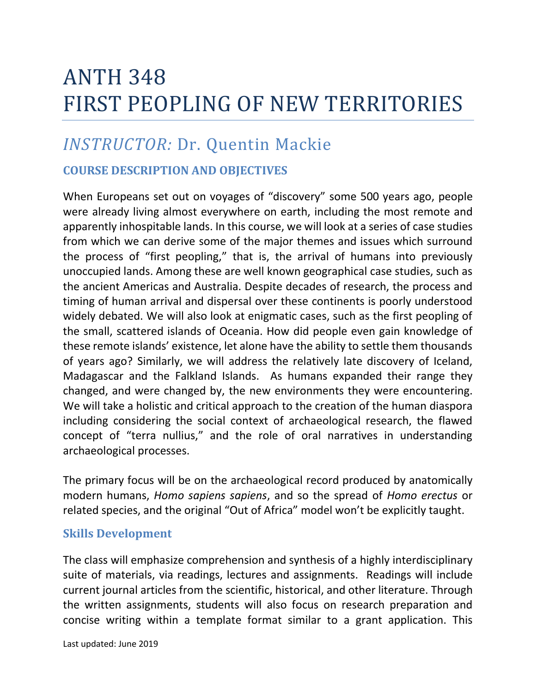## ANTH 348 FIRST PEOPLING OF NEW TERRITORIES

## *INSTRUCTOR:* Dr. Quentin Mackie

## **COURSE DESCRIPTION AND OBJECTIVES**

When Europeans set out on voyages of "discovery" some 500 years ago, people were already living almost everywhere on earth, including the most remote and apparently inhospitable lands. In this course, we will look at a series of case studies from which we can derive some of the major themes and issues which surround the process of "first peopling," that is, the arrival of humans into previously unoccupied lands. Among these are well known geographical case studies, such as the ancient Americas and Australia. Despite decades of research, the process and timing of human arrival and dispersal over these continents is poorly understood widely debated. We will also look at enigmatic cases, such as the first peopling of the small, scattered islands of Oceania. How did people even gain knowledge of these remote islands' existence, let alone have the ability to settle them thousands of years ago? Similarly, we will address the relatively late discovery of Iceland, Madagascar and the Falkland Islands. As humans expanded their range they changed, and were changed by, the new environments they were encountering. We will take a holistic and critical approach to the creation of the human diaspora including considering the social context of archaeological research, the flawed concept of "terra nullius," and the role of oral narratives in understanding archaeological processes.

The primary focus will be on the archaeological record produced by anatomically modern humans, *Homo sapiens sapiens*, and so the spread of *Homo erectus* or related species, and the original "Out of Africa" model won't be explicitly taught.

## **Skills Development**

The class will emphasize comprehension and synthesis of a highly interdisciplinary suite of materials, via readings, lectures and assignments. Readings will include current journal articles from the scientific, historical, and other literature. Through the written assignments, students will also focus on research preparation and concise writing within a template format similar to a grant application. This